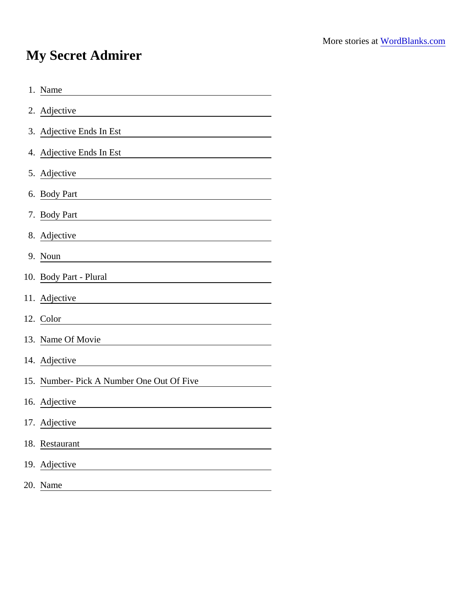## My Secret Admirer

| 1. Name                                                                                                                              |
|--------------------------------------------------------------------------------------------------------------------------------------|
| 2. Adjective                                                                                                                         |
| 3. Adjective Ends In Est                                                                                                             |
| 4. Adjective Ends In Est                                                                                                             |
| 5. Adjective                                                                                                                         |
| 6. Body Part                                                                                                                         |
| 7. Body Part                                                                                                                         |
| 8. Adjective                                                                                                                         |
| 9. Noun                                                                                                                              |
| 10. Body Part - Plural                                                                                                               |
| 11. Adjective                                                                                                                        |
| 12. Color                                                                                                                            |
| 13. Name Of Movie                                                                                                                    |
| 14. Adjective<br><u> 1980 - Johann Barn, mars eta bainar eta baina eta baina eta baina eta baina eta baina eta baina eta baina e</u> |
| 15. Number- Pick A Number One Out Of Five                                                                                            |
| 16. Adjective                                                                                                                        |
| 17. Adjective                                                                                                                        |
| 18. Restaurant                                                                                                                       |
| 19. Adjective                                                                                                                        |
| 20. Name                                                                                                                             |